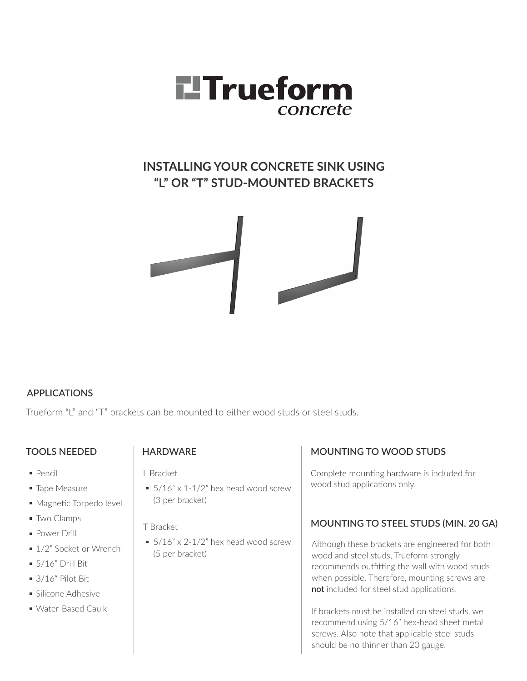

## **INSTALLING YOUR CONCRETE SINK USING "L" OR "T" STUD-MOUNTED BRACKETS**



### **APPLICATIONS**

Trueform "L" and "T" brackets can be mounted to either wood studs or steel studs.

### **TOOLS NEEDED**

- Pencil
- **Tape Measure**
- Magnetic Torpedo level
- **Two Clamps**
- **Power Drill**
- 1/2" Socket or Wrench
- $-5/16"$  Drill Bit
- 3/16" Pilot Bit
- **Silicone Adhesive**
- Water-Based Caulk

### **HARDWARE**

L Bracket

 $\approx$  5/16" x 1-1/2" hex head wood screw (3 per bracket)

T Bracket

 $\approx$  5/16" x 2-1/2" hex head wood screw (5 per bracket)

### **MOUNTING TO WOOD STUDS**

Complete mounting hardware is included for wood stud applications only.

### **MOUNTING TO STEEL STUDS (MIN. 20 GA)**

Although these brackets are engineered for both wood and steel studs, Trueform strongly recommends outfitting the wall with wood studs when possible. Therefore, mounting screws are **not** included for steel stud applications.

If brackets must be installed on steel studs, we recommend using 5/16" hex-head sheet metal screws. Also note that applicable steel studs should be no thinner than 20 gauge.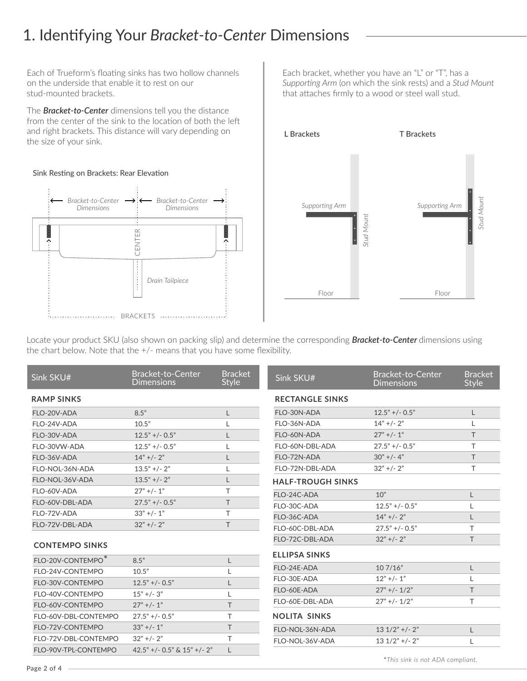## 1. Identifying Your *Bracket-to-Center* Dimensions

Each of Trueform's floating sinks has two hollow channels on the underside that enable it to rest on our stud-mounted brackets.

The *Bracket-to-Center* dimensions tell you the distance from the center of the sink to the location of both the left and right brackets. This distance will vary depending on the size of your sink.

#### Sink Resting on Brackets: Rear Elevation



Each bracket, whether you have an "L" or "T", has a *Supporting Arm* (on which the sink rests) and a *Stud Mount* that attaches firmly to a wood or steel wall stud.



\**This sink is not ADA compliant.*

Locate your product SKU (also shown on packing slip) and determine the corresponding *Bracket-to-Center* dimensions using the chart below. Note that the +/- means that you have some flexibility.

| Sink SKU#             | Bracket-to-Center<br><b>Dimensions</b> | <b>Bracket</b><br><b>Style</b> | Sink SKU#                | <b>Bracket-to-Center</b><br><b>Dimensions</b> | <b>Bracket</b><br><b>Style</b> |
|-----------------------|----------------------------------------|--------------------------------|--------------------------|-----------------------------------------------|--------------------------------|
| <b>RAMP SINKS</b>     |                                        |                                | <b>RECTANGLE SINKS</b>   |                                               |                                |
| FLO-20V-ADA           | 8.5"                                   | L                              | FLO-30N-ADA              | $12.5" +/- 0.5"$                              | L                              |
| FLO-24V-ADA           | 10.5"                                  |                                | FLO-36N-ADA              | $14" +/- 2"$                                  |                                |
| FLO-30V-ADA           | $12.5" +/- 0.5"$                       | L                              | FLO-60N-ADA              | $27" +/- 1"$                                  | T                              |
| FLO-30VW-ADA          | $12.5" +/- 0.5"$                       |                                | FLO-60N-DBL-ADA          | $27.5" +/- 0.5"$                              | T                              |
| FLO-36V-ADA           | $14" +/- 2"$                           |                                | FLO-72N-ADA              | $30" +/- 4"$                                  | T                              |
| FLO-NOL-36N-ADA       | $13.5$ " +/- 2"                        |                                | FLO-72N-DBL-ADA          | $32"$ +/- $2"$                                | T.                             |
| FLO-NOL-36V-ADA       | $13.5$ " +/- 2"                        | L                              | <b>HALF-TROUGH SINKS</b> |                                               |                                |
| FLO-60V-ADA           | $27" +/- 1"$                           | T                              | FLO-24C-ADA              | 10"                                           | L                              |
| FLO-60V-DBL-ADA       | $27.5" +/- 0.5"$                       | T.                             | FLO-30C-ADA              | $12.5"$ +/- 0.5"                              |                                |
| FLO-72V-ADA           | $33" +/- 1"$                           | T                              | FLO-36C-ADA              | $14" +/- 2"$                                  | L                              |
| FLO-72V-DBL-ADA       | $32" +/- 2"$                           | T                              | FLO-60C-DBL-ADA          | $27.5" +/- 0.5"$                              | T                              |
|                       |                                        |                                | FLO-72C-DBL-ADA          | $32" +/- 2"$                                  | T.                             |
| <b>CONTEMPO SINKS</b> |                                        |                                | <b>ELLIPSA SINKS</b>     |                                               |                                |
| FLO-20V-CONTEMPO*     | 8.5"                                   | L                              |                          |                                               |                                |
| FLO-24V-CONTEMPO      | 10.5"                                  |                                | FLO-24E-ADA              | 107/16"                                       | L                              |
| FLO-30V-CONTEMPO      | $12.5"$ +/- 0.5"                       | L                              | FLO-30E-ADA              | $12"$ +/- 1"                                  |                                |
| FLO-40V-CONTEMPO      | $15" +/- 3"$                           |                                | FLO-60E-ADA              | $27" +/- 1/2"$                                | T                              |
| FLO-60V-CONTEMPO      | $27" +/- 1"$                           | T                              | FLO-60E-DBL-ADA          | $27" +/- 1/2"$                                | T                              |
| FLO-60V-DBL-CONTEMPO  | $27.5" +/- 0.5"$                       | T                              | <b>NOLITA SINKS</b>      |                                               |                                |
| FLO-72V-CONTEMPO      | $33" +/- 1"$                           | T                              | FLO-NOL-36N-ADA          | $131/2" + (-2")$                              | L                              |
| FLO-72V-DBL-CONTEMPO  | $32" +/- 2"$                           | T                              | FLO-NOL-36V-ADA          | $131/2"$ +/- 2"                               |                                |
| FLO-90V-TPL-CONTEMPO  | $42.5"$ +/- 0.5" & 15" +/- 2"          | L                              |                          |                                               |                                |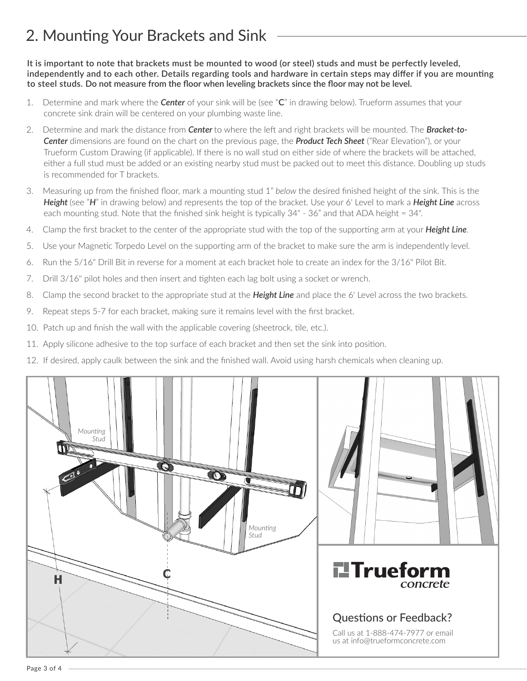# 2. Mounting Your Brackets and Sink

**It is important to note that brackets must be mounted to wood (or steel) studs and must be perfectly leveled, independently and to each other. Details regarding tools and hardware in certain steps may differ if you are mounting to steel studs. Do not measure from the floor when leveling brackets since the floor may not be level.**

- 1. Determine and mark where the *Center* of your sink will be (see "**C**" in drawing below). Trueform assumes that your concrete sink drain will be centered on your plumbing waste line.
- 2. Determine and mark the distance from *Center* to where the left and right brackets will be mounted. The *Bracket-to-Center* dimensions are found on the chart on the previous page, the *Product Tech Sheet* ("Rear Elevation"), or your Trueform Custom Drawing (if applicable). If there is no wall stud on either side of where the brackets will be attached, either a full stud must be added or an existing nearby stud must be packed out to meet this distance. Doubling up studs is recommended for T brackets.
- 3. Measuring up from the finished floor, mark a mounting stud 1" *below* the desired finished height of the sink. This is the *Height (see "H"* in drawing below) and represents the top of the bracket. Use your 6' Level to mark a *Height Line* across each mounting stud. Note that the finished sink height is typically 34" - 36" and that ADA height = 34".
- 4. Clamp the first bracket to the center of the appropriate stud with the top of the supporting arm at your *Height Line*.
- 5. Use your Magnetic Torpedo Level on the supporting arm of the bracket to make sure the arm is independently level.
- 6. Run the 5/16" Drill Bit in reverse for a moment at each bracket hole to create an index for the 3/16" Pilot Bit.
- 7. Drill 3/16" pilot holes and then insert and tighten each lag bolt using a socket or wrench.
- 8. Clamp the second bracket to the appropriate stud at the *Height Line* and place the 6' Level across the two brackets.
- 9. Repeat steps 5-7 for each bracket, making sure it remains level with the first bracket.
- 10. Patch up and finish the wall with the applicable covering (sheetrock, tile, etc.).
- 11. Apply silicone adhesive to the top surface of each bracket and then set the sink into position.
- 12. If desired, apply caulk between the sink and the finished wall. Avoid using harsh chemicals when cleaning up.